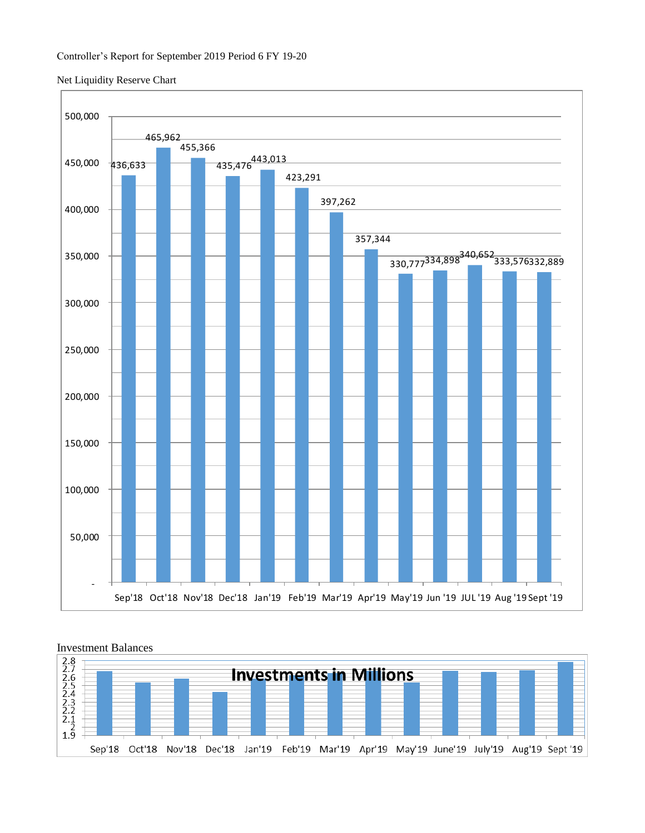## Net Liquidity Reserve Chart





### Investment Balances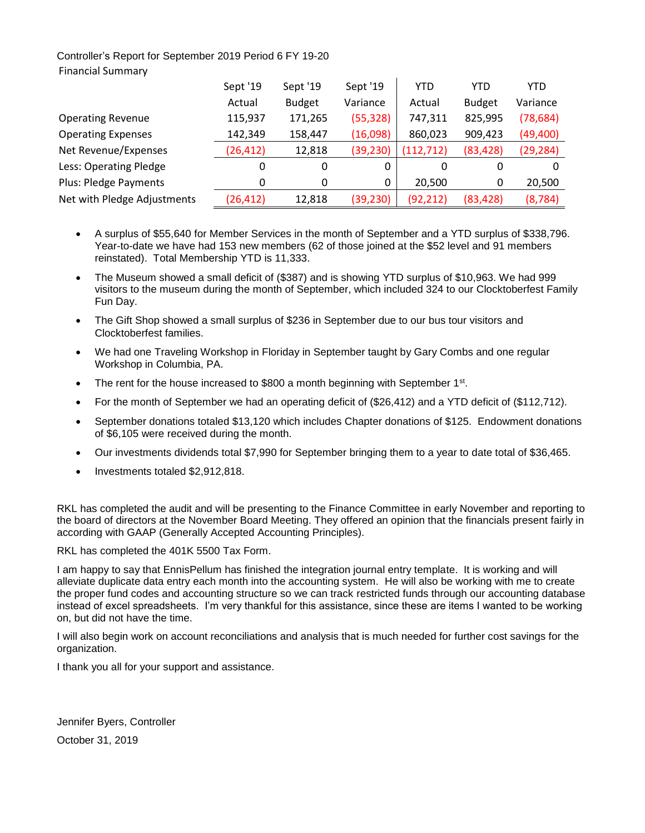# Controller's Report for September 2019 Period 6 FY 19-20 Financial Summary

|                             | Sept '19  | Sept '19      | Sept '19  | YTD        | YTD           | <b>YTD</b> |
|-----------------------------|-----------|---------------|-----------|------------|---------------|------------|
|                             | Actual    | <b>Budget</b> | Variance  | Actual     | <b>Budget</b> | Variance   |
| <b>Operating Revenue</b>    | 115,937   | 171,265       | (55, 328) | 747,311    | 825,995       | (78, 684)  |
| <b>Operating Expenses</b>   | 142,349   | 158,447       | (16,098)  | 860,023    | 909,423       | (49, 400)  |
| Net Revenue/Expenses        | (26, 412) | 12,818        | (39, 230) | (112, 712) | (83, 428)     | (29, 284)  |
| Less: Operating Pledge      | 0         | $\Omega$      | 0         | 0          | 0             | 0          |
| Plus: Pledge Payments       | 0         | 0             | 0         | 20,500     | 0             | 20,500     |
| Net with Pledge Adjustments | (26, 412) | 12,818        | (39, 230) | (92, 212)  | (83, 428)     | (8, 784)   |

- A surplus of \$55,640 for Member Services in the month of September and a YTD surplus of \$338,796. Year-to-date we have had 153 new members (62 of those joined at the \$52 level and 91 members reinstated). Total Membership YTD is 11,333.
- The Museum showed a small deficit of (\$387) and is showing YTD surplus of \$10,963. We had 999 visitors to the museum during the month of September, which included 324 to our Clocktoberfest Family Fun Day.
- The Gift Shop showed a small surplus of \$236 in September due to our bus tour visitors and Clocktoberfest families.
- We had one Traveling Workshop in Floriday in September taught by Gary Combs and one regular Workshop in Columbia, PA.
- The rent for the house increased to \$800 a month beginning with September 1 $st$ .
- For the month of September we had an operating deficit of (\$26,412) and a YTD deficit of (\$112,712).
- September donations totaled \$13,120 which includes Chapter donations of \$125. Endowment donations of \$6,105 were received during the month.
- Our investments dividends total \$7,990 for September bringing them to a year to date total of \$36,465.
- Investments totaled \$2,912,818.

RKL has completed the audit and will be presenting to the Finance Committee in early November and reporting to the board of directors at the November Board Meeting. They offered an opinion that the financials present fairly in according with GAAP (Generally Accepted Accounting Principles).

RKL has completed the 401K 5500 Tax Form.

I am happy to say that EnnisPellum has finished the integration journal entry template. It is working and will alleviate duplicate data entry each month into the accounting system. He will also be working with me to create the proper fund codes and accounting structure so we can track restricted funds through our accounting database instead of excel spreadsheets. I'm very thankful for this assistance, since these are items I wanted to be working on, but did not have the time.

I will also begin work on account reconciliations and analysis that is much needed for further cost savings for the organization.

I thank you all for your support and assistance.

Jennifer Byers, Controller October 31, 2019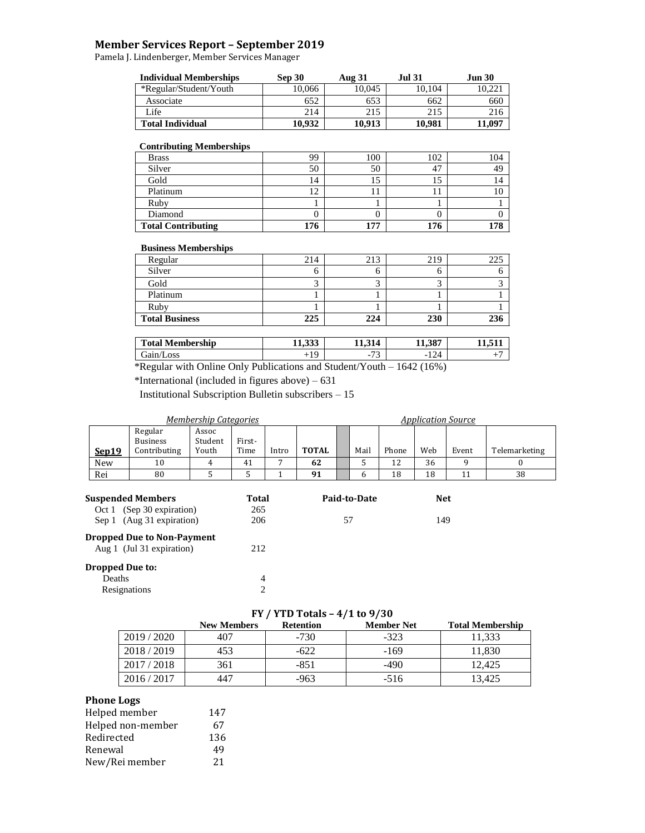## **Member Services Report – September 2019**

Pamela J. Lindenberger, Member Services Manager

| <b>Individual Memberships</b> | Sep 30 | Aug 31 | <b>Jul 31</b> | <b>Jun 30</b> |
|-------------------------------|--------|--------|---------------|---------------|
| *Regular/Student/Youth        | 10.066 | 10.045 | 0.104         | 10.221        |
| Associate                     | 652    | 653    | 662           | 660           |
| Life                          | 214    | 215    | 215           | 216           |
| <b>Total Individual</b>       | 10.932 | 10.913 | 10.981        | 1.097         |

#### **Contributing Memberships**

| . .                       |         |     |     |     |
|---------------------------|---------|-----|-----|-----|
| <b>Brass</b>              | 99      | 100 | 102 | 104 |
| Silver                    | 50      | 50  | 47  | 49  |
| Gold                      | l 4     | IJ  |     |     |
| Platinum                  | ◠<br>1∠ |     |     |     |
| Ruby                      |         |     |     |     |
| Diamond                   |         |     |     |     |
| <b>Total Contributing</b> | 176     | 177 | 176 | 178 |

#### **Business Memberships**

| Regular               | 214 | 213 | 219 | 225 |
|-----------------------|-----|-----|-----|-----|
| Silver                |     |     |     |     |
| Gold                  |     |     |     |     |
| Platinum              |     |     |     |     |
| Ruby                  |     |     |     |     |
| <b>Total Business</b> | 225 | 224 | 230 | 236 |

| <b>Total Membership</b>                                    | 11.222<br>11.999 | 211<br>11.314                                               | 11.387                |  |
|------------------------------------------------------------|------------------|-------------------------------------------------------------|-----------------------|--|
| 'Loss<br>Jain/J                                            | $\Omega$<br>--   | $\overline{\phantom{a}}$<br>$\overline{\phantom{0}}$<br>. . | $\sqrt{24}$<br>$-12-$ |  |
| 1.73<br>$\sim$ 11.<br>$\cdots$ $\sim$ $\cdots$<br>$\sim$ 1 |                  | $1 \cap$<br>$\cdot$ $\cdot$ $\cdot$                         | 1.710(1.70)           |  |

\*Regular with Online Only Publications and Student/Youth – 1642 (16%)

\*International (included in figures above) – 631

Institutional Subscription Bulletin subscribers – 15

| <b>Membership Categories</b> |                                                                                    |                           |                     |       |              |    |              | <b>Application Source</b> |                   |       |               |
|------------------------------|------------------------------------------------------------------------------------|---------------------------|---------------------|-------|--------------|----|--------------|---------------------------|-------------------|-------|---------------|
| <b>Sep19</b>                 | Regular<br><b>Business</b><br>Contributing                                         | Assoc<br>Student<br>Youth | First-<br>Time      | Intro | <b>TOTAL</b> |    | Mail         | Phone                     | Web               | Event | Telemarketing |
| New                          | 10                                                                                 | 4                         | 41                  | 7     | 62           |    | 5            | 12                        | 36                | 9     | 0             |
| Rei                          | 80                                                                                 |                           |                     |       | 91           |    | 6            | 18                        | 18                | 11    | 38            |
|                              | <b>Suspended Members</b><br>Oct 1 (Sep 30 expiration)<br>Sep 1 (Aug 31 expiration) |                           | Total<br>265<br>206 |       |              | 57 | Paid-to-Date |                           | <b>Net</b><br>149 |       |               |
|                              | <b>Dropped Due to Non-Payment</b><br>Aug 1 (Jul 31 expiration)                     |                           | 212                 |       |              |    |              |                           |                   |       |               |

## **Dropped Due to:** Deaths 4<br>Resignations 2 **Resignations**

# **FY / YTD Totals – 4/1 to 9/30**

|           | <b>New Members</b> | <b>Retention</b> | <b>Member Net</b> | <b>Total Membership</b> |
|-----------|--------------------|------------------|-------------------|-------------------------|
| 2019/2020 | 407                | $-730$           | $-323$            | 11.333                  |
| 2018/2019 | 453                | -622             | $-169$            | 11,830                  |
| 2017/2018 | 361                | $-851$           | -490              | 12.425                  |
| 2016/2017 | 447                | -963             | $-516$            | 13.425                  |

## **Phone Logs**

| Helped member     | 147 |
|-------------------|-----|
| Helped non-member | 67  |
| Redirected        | 136 |
| Renewal           | 49  |
| New/Rei member    | 21  |